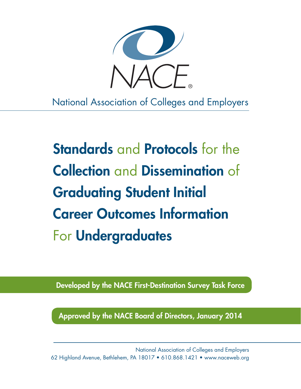

National Association of Colleges and Employers

Standards and Protocols for the Collection and Dissemination of Graduating Student Initial Career Outcomes Information For Undergraduates

Developed by the NACE First-Destination Survey Task Force

Approved by the NACE Board of Directors, January 2014

National Association of Colleges and Employers 62 Highland Avenue, Bethlehem, PA 18017 • 610.868.1421 • [www.naceweb.org](http://www.naceweb.org)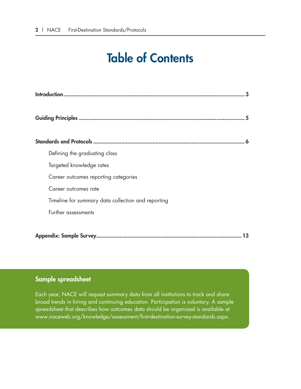## Table of Contents

| Defining the graduating class                      |
|----------------------------------------------------|
| Targeted knowledge rates                           |
| Career outcomes reporting categories               |
| Career outcomes rate                               |
| Timeline for summary data collection and reporting |
| Further assessments                                |
|                                                    |
| 13                                                 |

## Sample spreadsheet

Each year, NACE will request summary data from all institutions to track and share broad trends in hiring and continuing education. Participation is voluntary. A sample spreadsheet that describes how outcomes data should be organized is available at www.naceweb.org/knowledge/assessment/first-destination-survey-standards.aspx.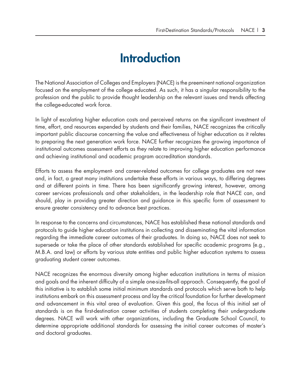## **Introduction**

The National Association of Colleges and Employers (NACE) is the preeminent national organization focused on the employment of the college educated. As such, it has a singular responsibility to the profession and the public to provide thought leadership on the relevant issues and trends affecting the college-educated work force.

In light of escalating higher education costs and perceived returns on the significant investment of time, effort, and resources expended by students and their families, NACE recognizes the critically important public discourse concerning the value and effectiveness of higher education as it relates to preparing the next generation work force. NACE further recognizes the growing importance of institutional outcomes assessment efforts as they relate to improving higher education performance and achieving institutional and academic program accreditation standards.

Efforts to assess the employment- and career-related outcomes for college graduates are not new and, in fact, a great many institutions undertake these efforts in various ways, to differing degrees and at different points in time. There has been significantly growing interest, however, among career services professionals and other stakeholders, in the leadership role that NACE can, and should, play in providing greater direction and guidance in this specific form of assessment to ensure greater consistency and to advance best practices.

In response to the concerns and circumstances, NACE has established these national standards and protocols to guide higher education institutions in collecting and disseminating the vital information regarding the immediate career outcomes of their graduates. In doing so, NACE does not seek to supersede or take the place of other standards established for specific academic programs (e.g., M.B.A. and law) or efforts by various state entities and public higher education systems to assess graduating student career outcomes.

NACE recognizes the enormous diversity among higher education institutions in terms of mission and goals and the inherent difficulty of a simple one-size-fits-all approach. Consequently, the goal of this initiative is to establish some initial minimum standards and protocols which serve both to help institutions embark on this assessment process and lay the critical foundation for further development and advancement in this vital area of evaluation. Given this goal, the focus of this initial set of standards is on the first-destination career activities of students completing their undergraduate degrees. NACE will work with other organizations, including the Graduate School Council, to determine appropriate additional standards for assessing the initial career outcomes of master's and doctoral graduates.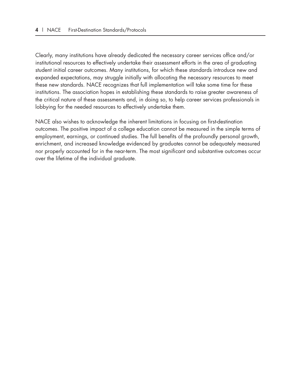Clearly, many institutions have already dedicated the necessary career services office and/or institutional resources to effectively undertake their assessment efforts in the area of graduating student initial career outcomes. Many institutions, for which these standards introduce new and expanded expectations, may struggle initially with allocating the necessary resources to meet these new standards. NACE recognizes that full implementation will take some time for these institutions. The association hopes in establishing these standards to raise greater awareness of the critical nature of these assessments and, in doing so, to help career services professionals in lobbying for the needed resources to effectively undertake them.

NACE also wishes to acknowledge the inherent limitations in focusing on first-destination outcomes. The positive impact of a college education cannot be measured in the simple terms of employment, earnings, or continued studies. The full benefits of the profoundly personal growth, enrichment, and increased knowledge evidenced by graduates cannot be adequately measured nor properly accounted for in the near-term. The most significant and substantive outcomes occur over the lifetime of the individual graduate.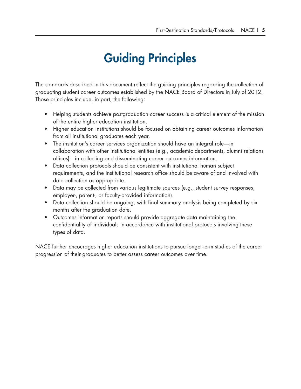# Guiding Principles

The standards described in this document reflect the guiding principles regarding the collection of graduating student career outcomes established by the NACE Board of Directors in July of 2012. Those principles include, in part, the following:

- Helping students achieve postgraduation career success is a critical element of the mission of the entire higher education institution.
- Higher education institutions should be focused on obtaining career outcomes information from all institutional graduates each year.
- The institution's career services organization should have an integral role—in collaboration with other institutional entities (e.g., academic departments, alumni relations offices)—in collecting and disseminating career outcomes information.
- Data collection protocols should be consistent with institutional human subject requirements, and the institutional research office should be aware of and involved with data collection as appropriate.
- Data may be collected from various legitimate sources (e.g., student survey responses; employer-, parent-, or faculty-provided information).
- Data collection should be ongoing, with final summary analysis being completed by six months after the graduation date.
- Outcomes information reports should provide aggregate data maintaining the confidentiality of individuals in accordance with institutional protocols involving these types of data.

NACE further encourages higher education institutions to pursue longer-term studies of the career progression of their graduates to better assess career outcomes over time.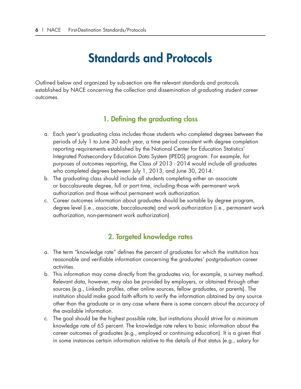## Standards and Protocols

Outlined below and organized by sub-section are the relevant standards and protocols established by NACE concerning the collection and dissemination of graduating student career outcomes.

## 1. Defining the graduating class

- a. Each year's graduating class includes those students who completed degrees between the periods of July 1 to June 30 each year, a time period consistent with degree completion reporting requirements established by the National Center for Education Statistics' Integrated Postsecondary Education Data System (IPEDS) program. For example, for purposes of outcomes reporting, the Class of 2013 - 2014 would include all graduates who completed degrees between July 1, 2013, and June 30, 2014.
- b. The graduating class should include all students completing either an associate or baccalaureate degree, full or part time, including those with permanent work authorization and those without permanent work authorization.
- c. Career outcomes information about graduates should be sortable by degree program, degree level (i.e., associate, baccalaureate) and work authorization (i.e., permanent work authorization, non-permanent work authorization).

## 2. Targeted knowledge rates

- a. The term "knowledge rate" defines the percent of graduates for which the institution has reasonable and verifiable information concerning the graduates' postgraduation career activities.
- b. This information may come directly from the graduates via, for example, a survey method. Relevant data, however, may also be provided by employers, or obtained through other sources (e.g., LinkedIn profiles, other online sources, fellow graduates, or parents). The institution should make good faith efforts to verify the information obtained by any source other than the graduate or in any case where there is some concern about the accuracy of the available information.
- c. The goal should be the highest possible rate, but institutions should strive for a minimum knowledge rate of 65 percent. The knowledge rate refers to basic information about the career outcomes of graduates (e.g., employed or continuing education). It is a given that in some instances certain information relative to the details of that status (e.g., salary for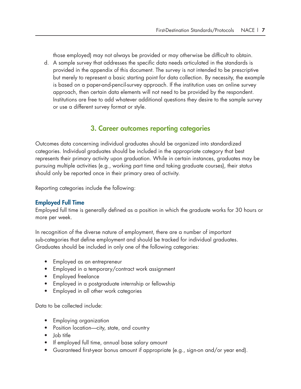those employed) may not always be provided or may otherwise be difficult to obtain.

d. A sample survey that addresses the specific data needs articulated in the standards is provided in the appendix of this document. The survey is not intended to be prescriptive but merely to represent a basic starting point for data collection. By necessity, the example is based on a paper-and-pencil-survey approach. If the institution uses an online survey approach, then certain data elements will not need to be provided by the respondent. Institutions are free to add whatever additional questions they desire to the sample survey or use a different survey format or style.

### 3. Career outcomes reporting categories

Outcomes data concerning individual graduates should be organized into standardized categories. Individual graduates should be included in the appropriate category that best represents their primary activity upon graduation. While in certain instances, graduates may be pursuing multiple activities (e.g., working part time and taking graduate courses), their status should only be reported once in their primary area of activity.

Reporting categories include the following:

#### Employed Full Time

Employed full time is generally defined as a position in which the graduate works for 30 hours or more per week.

In recognition of the diverse nature of employment, there are a number of important sub-categories that define employment and should be tracked for individual graduates. Graduates should be included in only one of the following categories:

- Employed as an entrepreneur
- Employed in a temporary/contract work assignment
- Employed freelance
- Employed in a postgraduate internship or fellowship
- Employed in all other work categories

Data to be collected include:

- Employing organization
- Position location—city, state, and country
- Job title
- If employed full time, annual base salary amount
- Guaranteed first-year bonus amount if appropriate (e.g., sign-on and/or year end).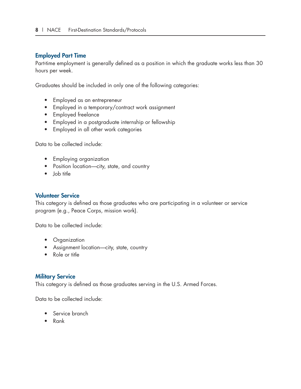#### Employed Part Time

Part-time employment is generally defined as a position in which the graduate works less than 30 hours per week.

Graduates should be included in only one of the following categories:

- Employed as an entrepreneur
- Employed in a temporary/contract work assignment
- Employed freelance
- Employed in a postgraduate internship or fellowship
- Employed in all other work categories

Data to be collected include:

- Employing organization
- Position location—city, state, and country
- Job title

#### Volunteer Service

This category is defined as those graduates who are participating in a volunteer or service program (e.g., Peace Corps, mission work).

Data to be collected include:

- Organization
- Assignment location-city, state, country
- Role or title

#### Military Service

This category is defined as those graduates serving in the U.S. Armed Forces.

Data to be collected include:

- Service branch
- Rank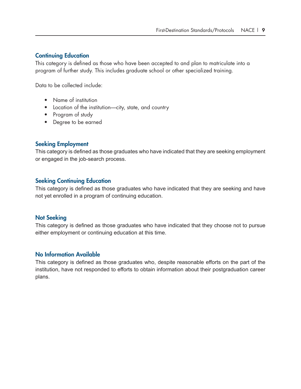#### Continuing Education

This category is defined as those who have been accepted to and plan to matriculate into a program of further study. This includes graduate school or other specialized training.

Data to be collected include:

- Name of institution
- Location of the institution—city, state, and country
- Program of study
- Degree to be earned

#### Seeking Employment

This category is defined as those graduates who have indicated that they are seeking employment or engaged in the job-search process.

#### Seeking Continuing Education

This category is defined as those graduates who have indicated that they are seeking and have not yet enrolled in a program of continuing education.

#### Not Seeking

This category is defined as those graduates who have indicated that they choose not to pursue either employment or continuing education at this time.

#### No Information Available

This category is defined as those graduates who, despite reasonable efforts on the part of the institution, have not responded to efforts to obtain information about their postgraduation career plans.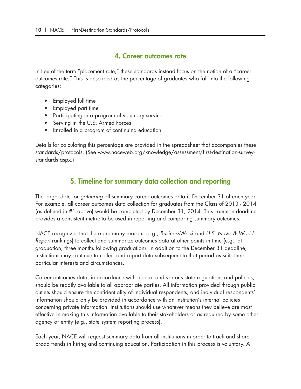#### 4. Career outcomes rate

In lieu of the term "placement rate," these standards instead focus on the notion of a "career outcomes rate." This is described as the percentage of graduates who fall into the following categories:

- Employed full time
- Employed part time
- Participating in a program of voluntary service
- Serving in the U.S. Armed Forces
- Enrolled in a program of continuing education

Details for calculating this percentage are provided in the spreadsheet that accompanies these standards/protocols. (See www.naceweb.org/knowledge/assessment/first-destination-surveystandards.aspx.)

## 5. Timeline for summary data collection and reporting

The target date for *gathering* all summary career outcomes data is December 31 of each year. For example, all career outcomes data collection for graduates from the Class of 2013 - 2014 (as defined in #1 above) would be completed by December 31, 2014. This common deadline provides a consistent metric to be used in reporting and comparing summary outcomes.

NACE recognizes that there are many reasons (e.g., *BusinessWeek* and *U.S. News & World Report* rankings) to collect and summarize outcomes data at other points in time (e.g., at graduation; three months following graduation). In addition to the December 31 deadline, institutions may continue to collect and report data subsequent to that period as suits their particular interests and circumstances.

Career outcomes data, in accordance with federal and various state regulations and policies, should be readily available to all appropriate parties. All information provided through public outlets should ensure the confidentiality of individual respondents, and individual respondents' information should only be provided in accordance with an institution's internal policies concerning private information. Institutions should use whatever means they believe are most effective in making this information available to their stakeholders or as required by some other agency or entity (e.g., state system reporting process).

Each year, NACE will request summary data from all institutions in order to track and share broad trends in hiring and continuing education. Participation in this process is voluntary. A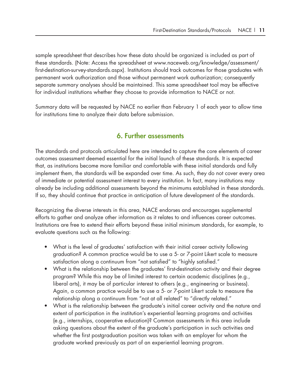sample spreadsheet that describes how these data should be organized is included as part of these standards. (Note: Access the spreadsheet at www.naceweb.org/knowledge/assessment/ first-destination-survey-standards.aspx). Institutions should track outcomes for those graduates with permanent work authorization and those without permanent work authorization; consequently separate summary analyses should be maintained. This same spreadsheet tool may be effective for individual institutions whether they choose to provide information to NACE or not.

Summary data will be requested by NACE no earlier than February 1 of each year to allow time for institutions time to analyze their data before submission.

### 6. Further assessments

The standards and protocols articulated here are intended to capture the core elements of career outcomes assessment deemed essential for the initial launch of these standards. It is expected that, as institutions become more familiar and comfortable with these initial standards and fully implement them, the standards will be expanded over time. As such, they do not cover every area of immediate or potential assessment interest to every institution. In fact, many institutions may already be including additional assessments beyond the minimums established in these standards. If so, they should continue that practice in anticipation of future development of the standards.

Recognizing the diverse interests in this area, NACE endorses and encourages supplemental efforts to gather and analyze other information as it relates to and influences career outcomes. Institutions are free to extend their efforts beyond these initial minimum standards, for example, to evaluate questions such as the following:

- What is the level of graduates' satisfaction with their initial career activity following graduation? A common practice would be to use a 5- or 7-point Likert scale to measure satisfaction along a continuum from "not satisfied" to "highly satisfied."
- What is the relationship between the graduates' first-destination activity and their degree program? While this may be of limited interest to certain academic disciplines (e.g., liberal arts), it may be of particular interest to others (e.g., engineering or business). Again, a common practice would be to use a 5- or 7-point Likert scale to measure the relationship along a continuum from "not at all related" to "directly related."
- What is the relationship between the graduate's initial career activity and the nature and extent of participation in the institution's experiential learning programs and activities (e.g., internships, cooperative education)? Common assessments in this area include asking questions about the extent of the graduate's participation in such activities and whether the first postgraduation position was taken with an employer for whom the graduate worked previously as part of an experiential learning program.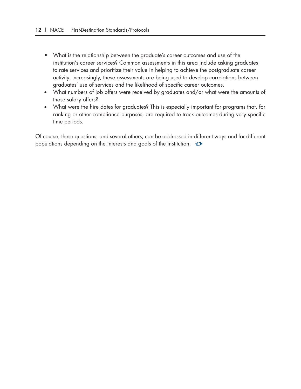- What is the relationship between the graduate's career outcomes and use of the institution's career services? Common assessments in this area include asking graduates to rate services and prioritize their value in helping to achieve the postgraduate career activity. Increasingly, these assessments are being used to develop correlations between graduates' use of services and the likelihood of specific career outcomes.
- What numbers of job offers were received by graduates and/or what were the amounts of those salary offers?
- What were the hire dates for graduates? This is especially important for programs that, for ranking or other compliance purposes, are required to track outcomes during very specific time periods.

Of course, these questions, and several others, can be addressed in different ways and for different populations depending on the interests and goals of the institution.  $\bullet$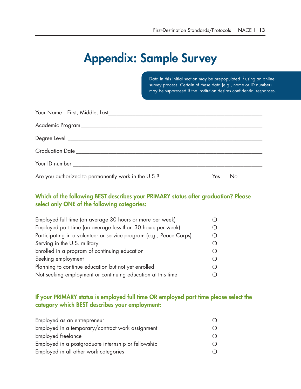## Appendix: Sample Survey

Data in this initial section may be prepopulated if using an online survey process. Certain of these data (e.g., name or ID number) may be suppressed if the institution desires confidential responses.

| Are you authorized to permanently work in the U.S.? | Yes | No |
|-----------------------------------------------------|-----|----|

#### Which of the following BEST describes your PRIMARY status after graduation? Please select only ONE of the following categories:

| Employed full time (on average 30 hours or more per week)           |          |
|---------------------------------------------------------------------|----------|
| Employed part time (on average less than 30 hours per week)         |          |
| Participating in a volunteer or service program (e.g., Peace Corps) |          |
| Serving in the U.S. military                                        |          |
| Enrolled in a program of continuing education                       |          |
| Seeking employment                                                  |          |
| Planning to continue education but not yet enrolled                 | $\Omega$ |
| Not seeking employment or continuing education at this time         |          |

### If your PRIMARY status is employed full time OR employed part time please select the category which BEST describes your employment:

| Employed as an entrepreneur                         |  |
|-----------------------------------------------------|--|
| Employed in a temporary/contract work assignment    |  |
| Employed freelance                                  |  |
| Employed in a postgraduate internship or fellowship |  |
| Employed in all other work categories               |  |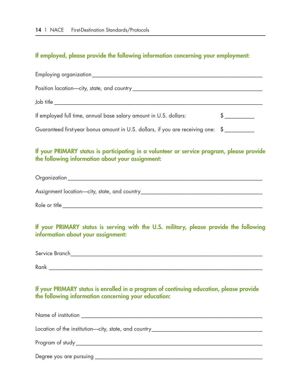#### If employed, please provide the following information concerning your employment:

| Employing organization                                                                                                                        |  |
|-----------------------------------------------------------------------------------------------------------------------------------------------|--|
| Position location-city, state, and country                                                                                                    |  |
| Job title ______________                                                                                                                      |  |
| If employed full time, annual base salary amount in U.S. dollars:                                                                             |  |
| Guaranteed first-year bonus amount in U.S. dollars, if you are receiving one: \$                                                              |  |
| If your PRIMARY status is participating in a volunteer or service program, please provide<br>the following information about your assignment: |  |

Organization \_\_\_\_\_\_\_\_\_\_\_\_\_\_\_\_\_\_\_\_\_\_\_\_\_\_\_\_\_\_\_\_\_\_\_\_\_\_\_\_\_\_\_\_\_\_\_\_\_\_\_\_\_\_\_\_\_\_\_\_\_\_\_\_\_\_\_\_\_\_\_\_

Assignment location—city, state, and country\_\_\_\_\_\_\_\_\_\_\_\_\_\_\_\_\_\_\_\_\_\_\_\_\_\_\_\_\_\_\_\_\_\_\_\_\_\_\_\_\_\_\_\_\_

Role or title <u>experimental</u> the set of the set of the set of the set of the set of the set of the set of the set of the set of the set of the set of the set of the set of the set of the set of the set of the set of the se

If your PRIMARY status is serving with the U.S. military, please provide the following information about your assignment:

Service Branch\_\_\_\_\_\_\_\_\_\_\_\_\_\_\_\_\_\_\_\_\_\_\_\_\_\_\_\_\_\_\_\_\_\_\_\_\_\_\_\_\_\_\_\_\_\_\_\_\_\_\_\_\_\_\_\_\_\_\_\_\_\_\_\_\_\_\_\_\_\_\_

Rank \_\_\_\_\_\_\_\_\_\_\_\_\_\_\_\_\_\_\_\_\_\_\_\_\_\_\_\_\_\_\_\_\_\_\_\_\_\_\_\_\_\_\_\_\_\_\_\_\_\_\_\_\_\_\_\_\_\_\_\_\_\_\_\_\_\_\_\_\_\_\_\_\_\_\_\_\_\_\_

If your PRIMARY status is enrolled in a program of continuing education, please provide the following information concerning your education:

| Name of institution                                                              |  |
|----------------------------------------------------------------------------------|--|
|                                                                                  |  |
| Location of the institution-city, state, and country____________________________ |  |
|                                                                                  |  |
|                                                                                  |  |
| Degree you are pursuing                                                          |  |